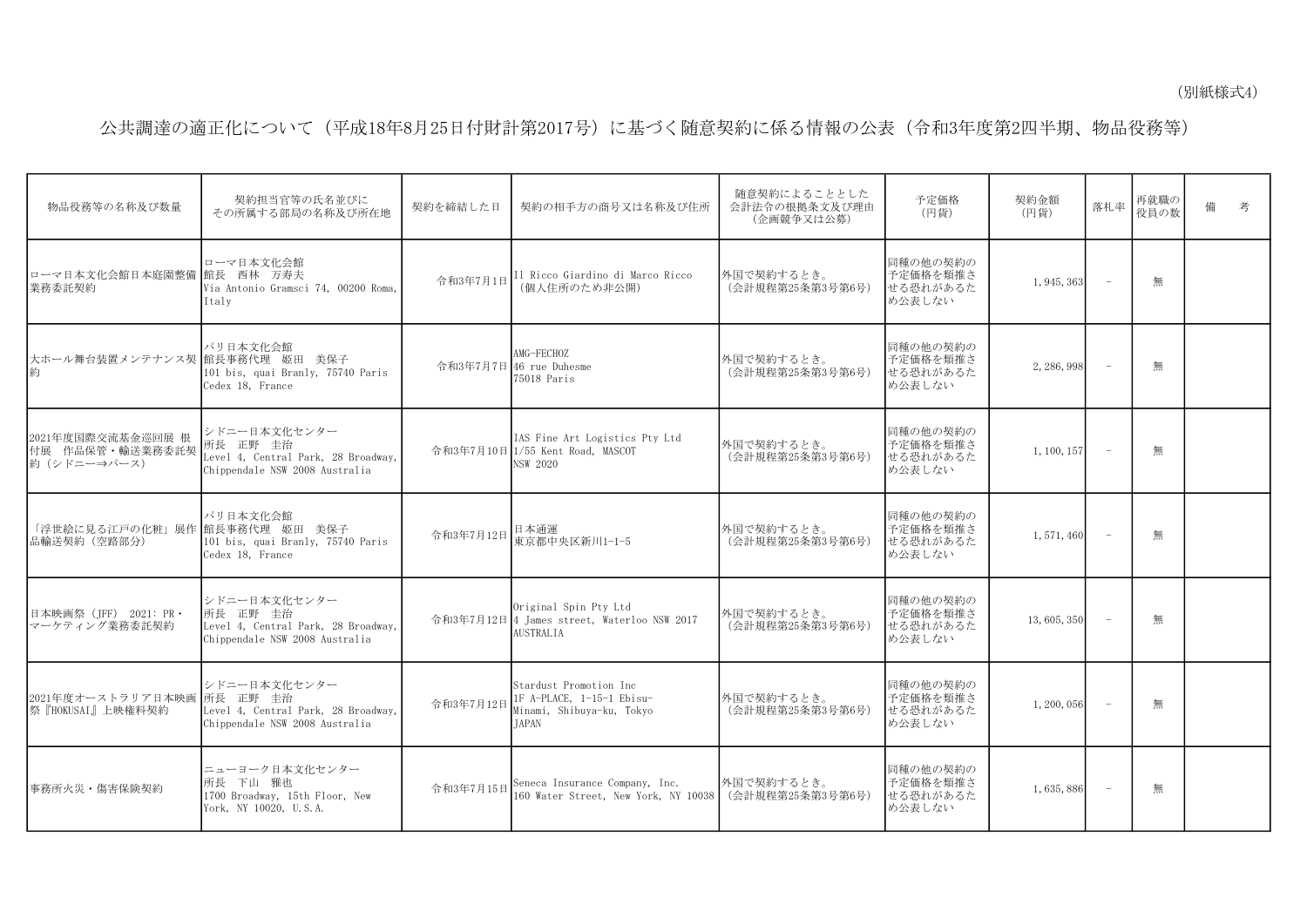## 公共調達の適正化について(平成18年8月25日付財計第2017号)に基づく随意契約に係る情報の公表(令和3年度第2四半期、物品役務等)

| 物品役務等の名称及び数量                                         | 契約担当官等の氏名並びに<br>その所属する部局の名称及び所在地                                                                  | 契約を締結した日  | 契約の相手方の商号又は名称及び住所                                                                                | 随意契約によることとした<br>会計法令の根拠条文及び理由<br>(企画競争又は公募) | 予定価格<br>(円貨)                               | 契約金額<br>(円貨) | 落札率                      | 再就職の<br>役員の数 | 備 | 考 |
|------------------------------------------------------|---------------------------------------------------------------------------------------------------|-----------|--------------------------------------------------------------------------------------------------|---------------------------------------------|--------------------------------------------|--------------|--------------------------|--------------|---|---|
| ローマ日本文化会館日本庭園整備<br> 業務委託契約                           | ローマ日本文化会館<br>館長 西林 万寿夫<br>Via Antonio Gramsci 74, 00200 Roma,<br>Italy                            | 令和3年7月1日  | Il Ricco Giardino di Marco Ricco<br>(個人住所のため非公開)                                                 | 外国で契約するとき。<br>(会計規程第25条第3号第6号)              | 同種の他の契約の<br>予定価格を類推さ<br>せる恐れがあるた<br>め公表しない | 1, 945, 363  |                          | 無            |   |   |
| 大ホール舞台装置メンテナンス契 館長事務代理 姫田 美保子                        | パリ日本文化会館<br>101 bis, quai Branly, 75740 Paris<br>Cedex 18, France                                 |           | AMG-FECHOZ<br>令和3年7月7日46 rue Duhesme<br>75018 Paris                                              | 外国で契約するとき。<br>(会計規程第25条第3号第6号)              | 同種の他の契約の<br>予定価格を類推さ<br>せる恐れがあるた<br>め公表しない | 2, 286, 998  | $\sim$                   | 無            |   |   |
| 2021年度国際交流基金巡回展 根<br>付展 作品保管・輸送業務委託契<br> 約(シドニー⇒パース) | シドニー日本文化センター<br>所長 正野 圭治<br>Level 4, Central Park, 28 Broadway,<br>Chippendale NSW 2008 Australia |           | IAS Fine Art Logistics Pty Ltd<br>令和3年7月10日 1/55 Kent Road, MASCOT<br>NSW 2020                   | 外国で契約するとき。<br>(会計規程第25条第3号第6号)              | 同種の他の契約の<br>予定価格を類推さ<br>せる恐れがあるた<br>め公表しない | 1, 100, 157  | $\overline{\phantom{a}}$ | 無            |   |   |
| 「浮世絵に見る江戸の化粧」展作 館長事務代理 姫田 美保子<br>品輸送契約 (空路部分)        | パリ日本文化会館<br>101 bis, quai Branly, 75740 Paris<br>Cedex 18, France                                 | 令和3年7月12日 | 日本通運<br>東京都中央区新川1-1-5                                                                            | 外国で契約するとき。<br>(会計規程第25条第3号第6号)              | 同種の他の契約の<br>予定価格を類推さ<br>せる恐れがあるた<br>め公表しない | 1,571,460    |                          | 無            |   |   |
| 日本映画祭 (IFF) 2021: PR ·<br>マーケティング業務委託契約              | シドニー日本文化センター<br>所長 正野 圭治<br>Level 4, Central Park, 28 Broadway,<br>Chippendale NSW 2008 Australia |           | Original Spin Pty Ltd<br>令和3年7月12日 4 James street, Waterloo NSW 2017<br><b>AUSTRALIA</b>         | 外国で契約するとき。<br>(会計規程第25条第3号第6号)              | 同種の他の契約の<br>予定価格を類推さ<br>せる恐れがあるた<br>め公表しない | 13, 605, 350 | $\overline{\phantom{a}}$ | 無            |   |   |
| 2021年度オーストラリア日本映画 所長 正野 圭治<br>祭『HOKUSAI』上映権料契約       | シドニー日本文化センター<br>Level 4, Central Park, 28 Broadway,<br>Chippendale NSW 2008 Australia             | 令和3年7月12日 | Stardust Promotion Inc<br>1F A-PLACE, 1-15-1 Ebisu-<br>Minami, Shibuya-ku, Tokyo<br><b>TAPAN</b> | 外国で契約するとき。<br>(会計規程第25条第3号第6号)              | 同種の他の契約の<br>予定価格を類推さ<br>せる恐れがあるた<br>め公表しない | 1, 200, 056  | $\overline{\phantom{0}}$ | 無            |   |   |
| 事務所火災・傷害保険契約                                         | ニューヨーク日本文化センター<br>所長 下山 雅也<br>1700 Broadway, 15th Floor, New<br>York, NY 10020, U.S.A.            | 令和3年7月15日 | Seneca Insurance Company, Inc.<br>160 Water Street, New York, NY 10038                           | 外国で契約するとき。<br>(会計規程第25条第3号第6号)              | 同種の他の契約の<br>予定価格を類推さ<br>せる恐れがあるた<br>め公表しない | 1,635,886    | $\overline{\phantom{0}}$ | 無            |   |   |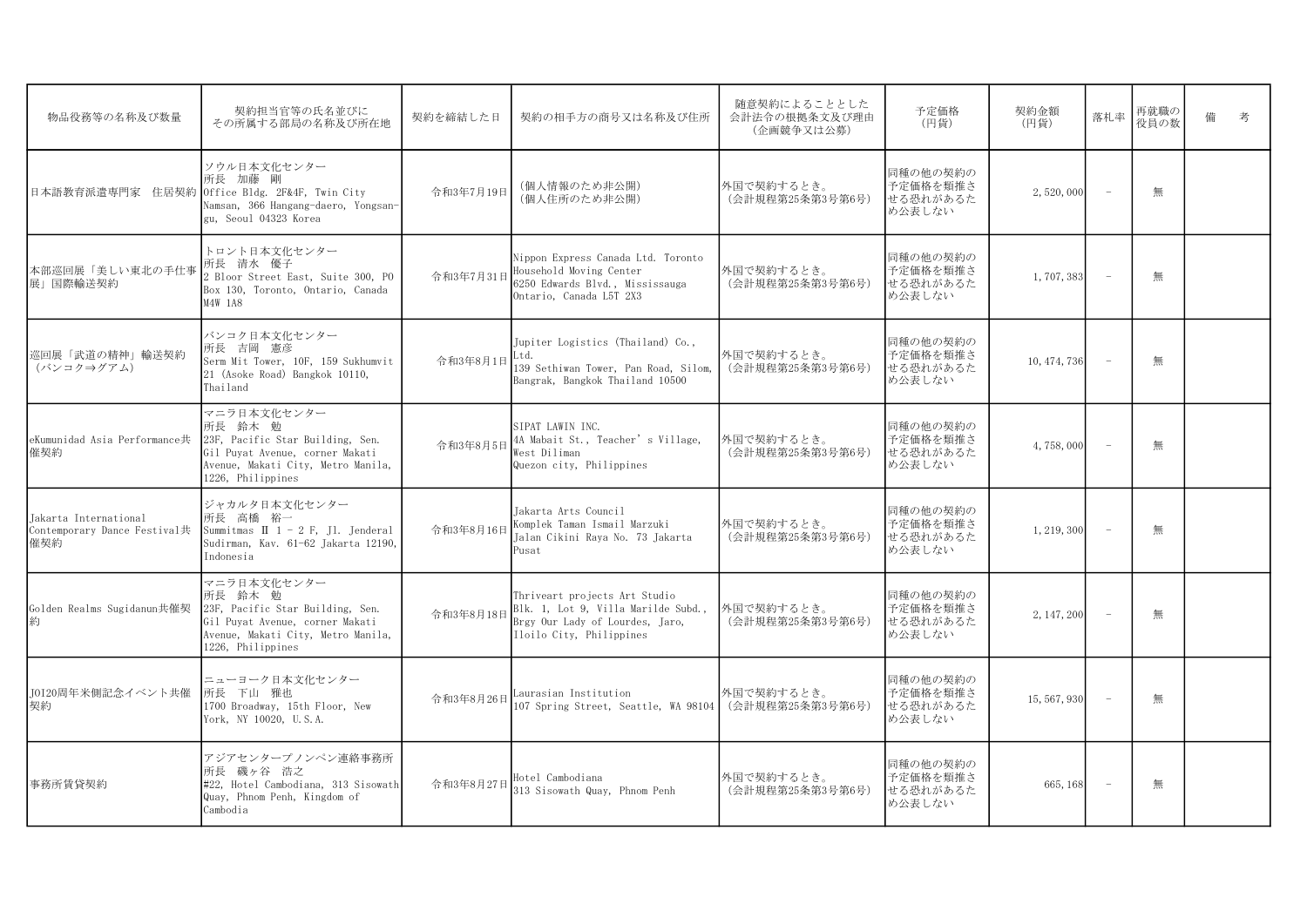| 物品役務等の名称及び数量                                                 | 契約担当官等の氏名並びに<br>その所属する部局の名称及び所在地                                                                                                                         | 契約を締結した日  | 契約の相手方の商号又は名称及び住所                                                                                                                   | 随意契約によることとした<br>会計法令の根拠条文及び理由<br>(企画競争又は公募) | 予定価格<br>(円貨)                               | 契約金額<br>(円貨) | 落札率            | 再就職の<br>役員の数 | 備 | 老 |
|--------------------------------------------------------------|----------------------------------------------------------------------------------------------------------------------------------------------------------|-----------|-------------------------------------------------------------------------------------------------------------------------------------|---------------------------------------------|--------------------------------------------|--------------|----------------|--------------|---|---|
| 日本語教育派遣専門家 住居契約                                              | ソウル日本文化センター<br>所長 加藤 剛<br>Office Bldg. 2F&4F, Twin City<br>Namsan, 366 Hangang-daero, Yongsan-<br>gu, Seoul 04323 Korea                                  | 令和3年7月19日 | (個人情報のため非公開)<br>(個人住所のため非公開)                                                                                                        | 外国で契約するとき。<br>(会計規程第25条第3号第6号)              | 同種の他の契約の<br>予定価格を類推さ<br>せる恐れがあるた<br>め公表しない | 2,520,000    | $\overline{a}$ | 無            |   |   |
| 本部巡回展「美しい東北の手仕事<br>展  国際輸送契約                                 | トロント日本文化センター<br>所長 清水 優子<br>2 Bloor Street East, Suite 300, PO<br>Box 130, Toronto, Ontario, Canada<br>M4W 1A8                                           | 令和3年7月31日 | Nippon Express Canada Ltd. Toronto<br>Household Moving Center<br>6250 Edwards Blvd., Mississauga<br>Ontario, Canada L5T 2X3         | 外国で契約するとき。<br>(会計規程第25条第3号第6号)              | 同種の他の契約の<br>予定価格を類推さ<br>せる恐れがあるた<br>め公表しない | 1,707,383    |                | 無            |   |   |
| 巡回展「武道の精神」輸送契約<br>(バンコク⇒グアム)                                 | バンコク日本文化センター<br>所長 吉岡 憲彦<br>Serm Mit Tower, 10F, 159 Sukhumvit<br>21 (Asoke Road) Bangkok 10110,<br>Thailand                                             | 令和3年8月1日  | Jupiter Logistics (Thailand) Co.,<br>Ltd.<br>139 Sethiwan Tower, Pan Road, Silom,<br>Bangrak, Bangkok Thailand 10500                | 外国で契約するとき。<br>(会計規程第25条第3号第6号)              | 同種の他の契約の<br>予定価格を類推さ<br>せる恐れがあるた<br>め公表しない | 10, 474, 736 |                | 無            |   |   |
| eKumunidad Asia Performance共<br>催契約                          | マニラ日本文化センター<br>所長 鈴木 勉<br>23F, Pacific Star Building, Sen.<br>Gil Puyat Avenue, corner Makati<br>Avenue, Makati City, Metro Manila,<br>1226, Philippines | 令和3年8月5日  | SIPAT LAWIN INC.<br>4A Mabait St., Teacher's Village,<br>West Diliman<br>Quezon city, Philippines                                   | 外国で契約するとき。<br>(会計規程第25条第3号第6号)              | 同種の他の契約の<br>予定価格を類推さ<br>せる恐れがあるた<br>め公表しない | 4,758,000    |                | 無            |   |   |
| Jakarta International<br>Contemporary Dance Festival共<br>催契約 | ジャカルタ日本文化センター<br>所長 高橋 裕一<br>Summitmas $\Pi$ 1 - 2 F, J1. Jenderal<br>Sudirman, Kav. 61-62 Jakarta 12190,<br>Indonesia                                   | 令和3年8月16日 | Jakarta Arts Council<br>Komplek Taman Ismail Marzuki<br>Jalan Cikini Raya No. 73 Jakarta<br>Pusat                                   | 外国で契約するとき。<br>(会計規程第25条第3号第6号)              | 同種の他の契約の<br>予定価格を類推さ<br>せる恐れがあるた<br>め公表しない | 1, 219, 300  |                | 無            |   |   |
| Golden Realms Sugidanun共催契                                   | マニラ日本文化センター<br>所長 鈴木 勉<br>23F, Pacific Star Building, Sen.<br>Gil Puyat Avenue, corner Makati<br>Avenue, Makati City, Metro Manila,<br>1226, Philippines | 令和3年8月18日 | Thriveart projects Art Studio<br>Blk. 1, Lot 9, Villa Marilde Subd.,<br>Brgy Our Lady of Lourdes, Jaro,<br>Iloilo City, Philippines | 外国で契約するとき。<br>(会計規程第25条第3号第6号)              | 同種の他の契約の<br>予定価格を類推さ<br>せる恐れがあるた<br>め公表しない | 2, 147, 200  |                | 無            |   |   |
| I0I20周年米側記念イベント共催<br>契約                                      | ニューヨーク日本文化センター<br>所長 下山 雅也<br>1700 Broadway, 15th Floor, New<br>York, NY 10020, U.S.A.                                                                   | 令和3年8月26日 | Laurasian Institution<br>107 Spring Street, Seattle, WA 98104                                                                       | 外国で契約するとき。<br>(会計規程第25条第3号第6号)              | 同種の他の契約の<br>予定価格を類推さ<br>せる恐れがあるた<br>め公表しない | 15, 567, 930 |                | 無            |   |   |
| 事務所賃貸契約                                                      | アジアセンタープノンペン連絡事務所<br>所長 磯ヶ谷 浩之<br>#22, Hotel Cambodiana, 313 Sisowath<br>Quay, Phnom Penh, Kingdom of<br>Cambodia                                        | 令和3年8月27日 | Hotel Cambodiana<br>313 Sisowath Quav, Phnom Penh                                                                                   | 外国で契約するとき。<br>(会計規程第25条第3号第6号)              | 同種の他の契約の<br>予定価格を類推さ<br>せる恐れがあるた<br>め公表しない | 665, 168     |                | 無            |   |   |